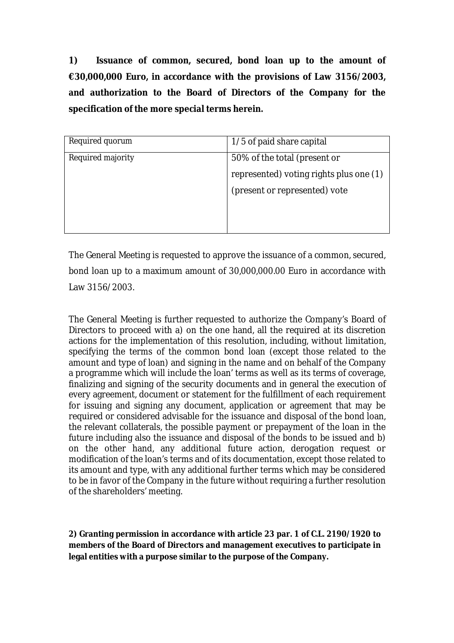**1) Issuance of common, secured, bond loan up to the amount of €30,000,000 Euro, in accordance with the provisions of Law 3156/2003, and authorization to the Board of Directors of the Company for the specification of the more special terms herein.** 

| Required quorum          | $1/5$ of paid share capital                                             |
|--------------------------|-------------------------------------------------------------------------|
| <b>Required majority</b> | 50% of the total (present or<br>represented) voting rights plus one (1) |
|                          | (present or represented) vote                                           |
|                          |                                                                         |

The General Meeting is requested to approve the issuance of a common, secured, bond loan up to a maximum amount of 30,000,000.00 Euro in accordance with Law 3156/2003.

The General Meeting is further requested to authorize the Company's Board of Directors to proceed with a) on the one hand, all the required at its discretion actions for the implementation of this resolution, including, without limitation, specifying the terms of the common bond loan (except those related to the amount and type of loan) and signing in the name and on behalf of the Company a programme which will include the loan' terms as well as its terms of coverage, finalizing and signing of the security documents and in general the execution of every agreement, document or statement for the fulfillment of each requirement for issuing and signing any document, application or agreement that may be required or considered advisable for the issuance and disposal of the bond loan, the relevant collaterals, the possible payment or prepayment of the loan in the future including also the issuance and disposal of the bonds to be issued and b) on the other hand, any additional future action, derogation request or modification of the loan's terms and of its documentation, except those related to its amount and type, with any additional further terms which may be considered to be in favor of the Company in the future without requiring a further resolution of the shareholders' meeting.

**2) Granting permission in accordance with article 23 par. 1 of C.L. 2190/1920 to members of the Board of Directors and management executives to participate in legal entities with a purpose similar to the purpose of the Company.**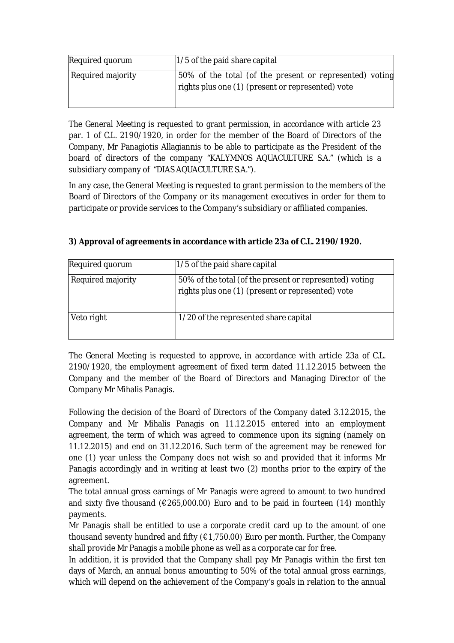| <b>Required quorum</b>   | $1/5$ of the paid share capital                                                                              |
|--------------------------|--------------------------------------------------------------------------------------------------------------|
| <b>Required majority</b> | 50% of the total (of the present or represented) voting<br>rights plus one (1) (present or represented) vote |

The General Meeting is requested to grant permission, in accordance with article 23 par. 1 of C.L. 2190/1920, in order for the member of the Board of Directors of the Company, Mr Panagiotis Allagiannis to be able to participate as the President of the board of directors of the company "KALYMNOS AQUACULTURE S.A." (which is a subsidiary company of "DIAS AQUACULTURE S.A.").

In any case, the General Meeting is requested to grant permission to the members of the Board of Directors of the Company or its management executives in order for them to participate or provide services to the Company's subsidiary or affiliated companies.

| <b>Required quorum</b>   | $1/5$ of the paid share capital                                                                              |
|--------------------------|--------------------------------------------------------------------------------------------------------------|
| <b>Required majority</b> | 50% of the total (of the present or represented) voting<br>rights plus one (1) (present or represented) vote |
| Veto right               | 1/20 of the represented share capital                                                                        |

**3) Approval of agreements in accordance with article 23a of C.L. 2190/1920.**

The General Meeting is requested to approve, in accordance with article 23a of C.L. 2190/1920, the employment agreement of fixed term dated 11.12.2015 between the Company and the member of the Board of Directors and Managing Director of the Company Mr Mihalis Panagis.

Following the decision of the Board of Directors of the Company dated 3.12.2015, the Company and Mr Mihalis Panagis on 11.12.2015 entered into an employment agreement, the term of which was agreed to commence upon its signing (namely on 11.12.2015) and end on 31.12.2016. Such term of the agreement may be renewed for one (1) year unless the Company does not wish so and provided that it informs Mr Panagis accordingly and in writing at least two (2) months prior to the expiry of the agreement.

The total annual gross earnings of Mr Panagis were agreed to amount to two hundred and sixty five thousand ( $\epsilon$ 265,000.00) Euro and to be paid in fourteen (14) monthly payments.

Mr Panagis shall be entitled to use a corporate credit card up to the amount of one thousand seventy hundred and fifty  $(E1,750.00)$  Euro per month. Further, the Company shall provide Mr Panagis a mobile phone as well as a corporate car for free.

In addition, it is provided that the Company shall pay Mr Panagis within the first ten days of March, an annual bonus amounting to 50% of the total annual gross earnings, which will depend on the achievement of the Company's goals in relation to the annual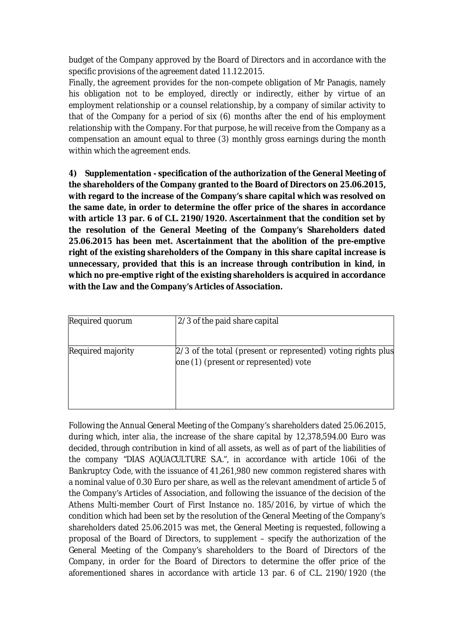budget of the Company approved by the Board of Directors and in accordance with the specific provisions of the agreement dated 11.12.2015.

Finally, the agreement provides for the non-compete obligation of Mr Panagis, namely his obligation not to be employed, directly or indirectly, either by virtue of an employment relationship or a counsel relationship, by a company of similar activity to that of the Company for a period of six (6) months after the end of his employment relationship with the Company. For that purpose, he will receive from the Company as a compensation an amount equal to three (3) monthly gross earnings during the month within which the agreement ends.

**4) Supplementation - specification of the authorization of the General Meeting of the shareholders of the Company granted to the Board of Directors on 25.06.2015, with regard to the increase of the Company's share capital which was resolved on the same date, in order to determine the offer price of the shares in accordance with article 13 par. 6 of C.L. 2190/1920. Ascertainment that the condition set by the resolution of the General Meeting of the Company's Shareholders dated 25.06.2015 has been met. Ascertainment that the abolition of the pre-emptive right of the existing shareholders of the Company in this share capital increase is unnecessary, provided that this is an increase through contribution in kind, in which no pre-emptive right of the existing shareholders is acquired in accordance with the Law and the Company's Articles of Association.** 

| <b>Required quorum</b>   | 2/3 of the paid share capital                                                                           |
|--------------------------|---------------------------------------------------------------------------------------------------------|
| <b>Required majority</b> | $2/3$ of the total (present or represented) voting rights plus<br>one (1) (present or represented) vote |

Following the Annual General Meeting of the Company's shareholders dated 25.06.2015, during which, *inter alia*, the increase of the share capital by 12,378,594.00 Euro was decided, through contribution in kind of all assets, as well as of part of the liabilities of the company "DIAS AQUACULTURE S.A.", in accordance with article 106i of the Bankruptcy Code, with the issuance of 41,261,980 new common registered shares with a nominal value of 0.30 Euro per share, as well as the relevant amendment of article 5 of the Company's Articles of Association, and following the issuance of the decision of the Athens Multi-member Court of First Instance no. 185/2016, by virtue of which the condition which had been set by the resolution of the General Meeting of the Company's shareholders dated 25.06.2015 was met, the General Meeting is requested, following a proposal of the Board of Directors, to supplement – specify the authorization of the General Meeting of the Company's shareholders to the Board of Directors of the Company, in order for the Board of Directors to determine the offer price of the aforementioned shares in accordance with article 13 par. 6 of C.L. 2190/1920 (the